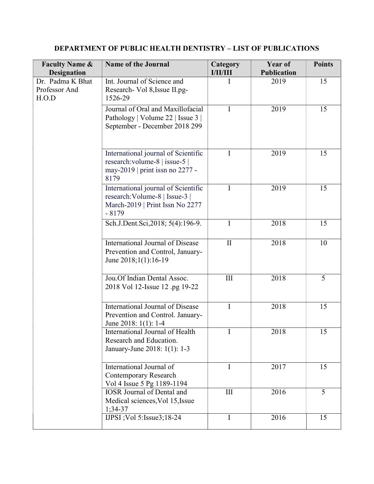| <b>Faculty Name &amp;</b><br><b>Designation</b> | <b>Name of the Journal</b>                                                                                          | Category<br><b>I/II/III</b> | Year of<br><b>Publication</b> | <b>Points</b> |
|-------------------------------------------------|---------------------------------------------------------------------------------------------------------------------|-----------------------------|-------------------------------|---------------|
| Dr. Padma K Bhat<br>Professor And<br>H.O.D      | Int. Journal of Science and<br>Research- Vol 8, Issue II.pg-<br>1526-29                                             | I                           | 2019                          | 15            |
|                                                 | Journal of Oral and Maxillofacial<br>Pathology   Volume 22   Issue 3  <br>September - December 2018 299             | I                           | 2019                          | 15            |
|                                                 | International journal of Scientific<br>research: volume-8   issue-5  <br>may-2019   print issn no 2277 -<br>8179    | I                           | 2019                          | 15            |
|                                                 | International journal of Scientific<br>research: Volume-8   Issue-3  <br>March-2019   Print Issn No 2277<br>$-8179$ | I                           | 2019                          | 15            |
|                                                 | Sch.J.Dent.Sci,2018; 5(4):196-9.                                                                                    | $\mathbf I$                 | 2018                          | 15            |
|                                                 | International Journal of Disease<br>Prevention and Control, January-<br>June 2018;1(1):16-19                        | $\mathbf{I}$                | 2018                          | 10            |
|                                                 | Jou.Of Indian Dental Assoc.<br>2018 Vol 12-Issue 12 .pg 19-22                                                       | $\rm III$                   | 2018                          | 5             |
|                                                 | International Journal of Disease<br>Prevention and Control. January-<br>June 2018: $1(1)$ : 1-4                     | I                           | 2018                          | 15            |
|                                                 | International Journal of Health<br>Research and Education.<br>January-June 2018: 1(1): 1-3                          | $\bf I$                     | 2018                          | 15            |
|                                                 | International Journal of<br><b>Contemporary Research</b><br>Vol 4 Issue 5 Pg 1189-1194                              | $\bf{I}$                    | 2017                          | 15            |
|                                                 | <b>IOSR</b> Journal of Dental and<br>Medical sciences, Vol 15, Issue<br>$1;34-37$                                   | III                         | 2016                          | 5             |
|                                                 | IJPSI ; Vol 5: Issue 3; 18-24                                                                                       | $\mathbf I$                 | 2016                          | 15            |

## DEPARTMENT OF PUBLIC HEALTH DENTISTRY – LIST OF PUBLICATIONS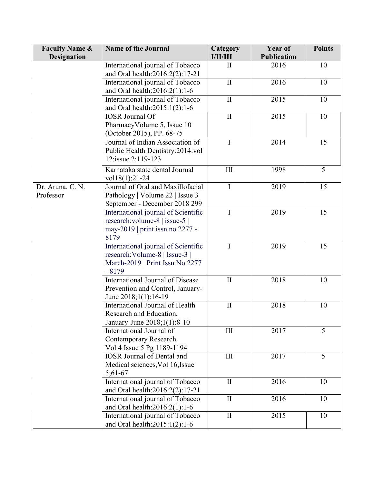| <b>Faculty Name &amp;</b>     | <b>Name of the Journal</b>                                                                                          | Category<br><b>I/II/III</b> | Year of<br><b>Publication</b> | <b>Points</b> |
|-------------------------------|---------------------------------------------------------------------------------------------------------------------|-----------------------------|-------------------------------|---------------|
| <b>Designation</b>            |                                                                                                                     |                             |                               |               |
|                               | International journal of Tobacco<br>and Oral health:2016:2(2):17-21                                                 | $\mathbf{I}$                | 2016                          | 10            |
|                               | International journal of Tobacco<br>and Oral health:2016:2(1):1-6                                                   | $\mathbf{I}$                | 2016                          | 10            |
|                               | International journal of Tobacco<br>and Oral health: 2015:1(2):1-6                                                  | $\mathbf{I}$                | 2015                          | 10            |
|                               | <b>IOSR</b> Journal Of<br>PharmacyVolume 5, Issue 10<br>(October 2015), PP. 68-75                                   | $\mathbf{I}$                | 2015                          | 10            |
|                               | Journal of Indian Association of<br>Public Health Dentistry:2014:vol<br>12:issue 2:119-123                          | $\mathbf I$                 | 2014                          | 15            |
|                               | Karnataka state dental Journal<br>$vol18(1);21-24$                                                                  | III                         | 1998                          | 5             |
| Dr. Aruna. C. N.<br>Professor | Journal of Oral and Maxillofacial<br>Pathology   Volume 22   Issue 3  <br>September - December 2018 299             | $\mathbf I$                 | 2019                          | 15            |
|                               | International journal of Scientific<br>research: volume-8   issue-5  <br>may-2019   print issn no 2277 -<br>8179    | $\mathbf I$                 | 2019                          | 15            |
|                               | International journal of Scientific<br>research: Volume-8   Issue-3  <br>March-2019   Print Issn No 2277<br>$-8179$ | $\mathbf I$                 | 2019                          | 15            |
|                               | International Journal of Disease<br>Prevention and Control, January-<br>June 2018;1(1):16-19                        | $\mathbf{I}$                | 2018                          | 10            |
|                               | International Journal of Health<br>Research and Education,<br>January-June 2018;1(1):8-10                           | $\mathbf{I}$                | 2018                          | 10            |
|                               | International Journal of<br><b>Contemporary Research</b><br>Vol 4 Issue 5 Pg 1189-1194                              | III                         | 2017                          | 5             |
|                               | <b>IOSR Journal of Dental and</b><br>Medical sciences, Vol 16, Issue<br>$5;61-67$                                   | $\rm III$                   | 2017                          | 5             |
|                               | International journal of Tobacco<br>and Oral health:2016:2(2):17-21                                                 | $\mathbf{I}$                | 2016                          | 10            |
|                               | International journal of Tobacco<br>and Oral health: 2016: 2(1): 1-6                                                | $\mathbf{I}$                | 2016                          | 10            |
|                               | International journal of Tobacco<br>and Oral health: $2015:1(2):1-6$                                                | $\mathbf{I}$                | 2015                          | 10            |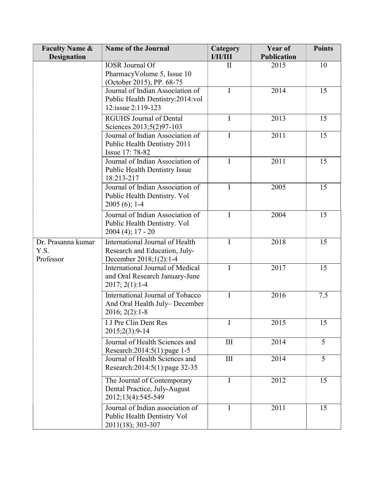| <b>Faculty Name &amp;</b>               | <b>Name of the Journal</b>                                                                 | Category<br><b>I/II/III</b> | Year of<br><b>Publication</b> | <b>Points</b> |
|-----------------------------------------|--------------------------------------------------------------------------------------------|-----------------------------|-------------------------------|---------------|
| <b>Designation</b>                      | <b>IOSR</b> Journal Of                                                                     |                             |                               |               |
|                                         | PharmacyVolume 5, Issue 10<br>(October 2015), PP. 68-75                                    | $\mathbf{I}$                | 2015                          | 10            |
|                                         | Journal of Indian Association of<br>Public Health Dentistry:2014:vol<br>12:issue 2:119-123 | I                           | 2014                          | 15            |
|                                         | <b>RGUHS Journal of Dental</b><br>Sciences 2013;5(2)97-103                                 | I                           | 2013                          | 15            |
| Dr. Prasanna kumar<br>Y.S.<br>Professor | Journal of Indian Association of<br>Public Health Dentistry 2011<br>Issue 17: 78-82        | I                           | 2011                          | 15            |
|                                         | Journal of Indian Association of<br><b>Public Health Dentistry Issue</b><br>18:213-217     | $\mathbf I$                 | 2011                          | 15            |
|                                         | Journal of Indian Association of<br>Public Health Dentistry. Vol<br>$2005(6); 1-4$         | I                           | 2005                          | 15            |
|                                         | Journal of Indian Association of<br>Public Health Dentistry. Vol<br>$2004(4); 17 - 20$     | I                           | 2004                          | 15            |
|                                         | International Journal of Health<br>Research and Education, July-<br>December 2018;1(2):1-4 | I                           | 2018                          | 15            |
|                                         | International Journal of Medical<br>and Oral Research January-June<br>$2017; 2(1):1-4$     | I                           | 2017                          | 15            |
|                                         | International Journal of Tobacco<br>And Oral Health July-December<br>$2016; 2(2):1-8$      | I                           | 2016                          | 7.5           |
|                                         | I J Pre Clin Dent Res<br>2015;2(3):9-14                                                    | I                           | 2015                          | 15            |
|                                         | Journal of Health Sciences and<br>Research: 2014: 5(1): page 1-5                           | III                         | 2014                          | 5             |
|                                         | Journal of Health Sciences and<br>Research: 2014: 5(1): page 32-35                         | $\rm III$                   | 2014                          | 5             |
|                                         | The Journal of Contemporary<br>Dental Practice, July-August<br>2012;13(4):545-549          | I                           | 2012                          | 15            |
|                                         | Journal of Indian association of<br>Public Health Dentistry Vol<br>2011(18); 303-307       | I                           | 2011                          | 15            |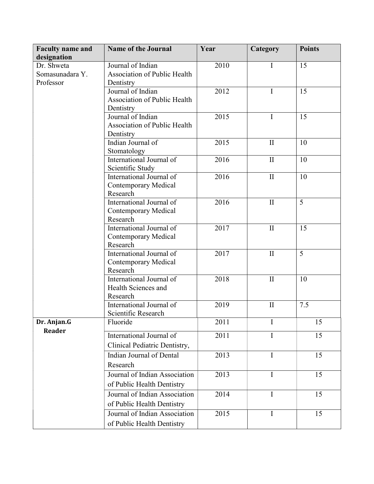| <b>Faculty name and</b> | <b>Name of the Journal</b>              | Year | Category     | <b>Points</b> |
|-------------------------|-----------------------------------------|------|--------------|---------------|
| designation             |                                         |      |              |               |
| Dr. Shweta              | Journal of Indian                       | 2010 | Ι            | 15            |
| Somasunadara Y.         | <b>Association of Public Health</b>     |      |              |               |
| Professor               | Dentistry                               |      |              |               |
|                         | Journal of Indian                       | 2012 | I            | 15            |
|                         | Association of Public Health            |      |              |               |
|                         | Dentistry                               |      |              |               |
|                         | Journal of Indian                       | 2015 | I            | 15            |
|                         | <b>Association of Public Health</b>     |      |              |               |
|                         | Dentistry                               |      |              |               |
|                         | Indian Journal of                       | 2015 | $\rm II$     | 10            |
|                         | Stomatology                             |      |              |               |
|                         | International Journal of                | 2016 | $\mathbf{I}$ | 10            |
|                         | Scientific Study                        |      |              |               |
|                         | International Journal of                | 2016 | $\mathbf{I}$ | 10            |
|                         | <b>Contemporary Medical</b>             |      |              |               |
|                         | Research                                |      |              |               |
|                         | International Journal of                | 2016 | $\rm II$     | 5             |
|                         | <b>Contemporary Medical</b><br>Research |      |              |               |
|                         | International Journal of                | 2017 | $\mathbf{I}$ | 15            |
|                         | Contemporary Medical                    |      |              |               |
|                         | Research                                |      |              |               |
|                         | International Journal of                | 2017 | $\rm II$     | 5             |
|                         | <b>Contemporary Medical</b>             |      |              |               |
|                         | Research                                |      |              |               |
|                         | International Journal of                | 2018 | $\rm II$     | 10            |
|                         | Health Sciences and                     |      |              |               |
|                         | Research                                |      |              |               |
|                         | International Journal of                | 2019 | $\mathbf{I}$ | 7.5           |
|                         | Scientific Research                     |      |              |               |
| Dr. Anjan.G             | Fluoride                                | 2011 | I            | 15            |
| <b>Reader</b>           | International Journal of                | 2011 | I            | 15            |
|                         |                                         |      |              |               |
|                         | Clinical Pediatric Dentistry,           |      |              |               |
|                         | Indian Journal of Dental                | 2013 | I            | 15            |
|                         | Research                                |      |              |               |
|                         | Journal of Indian Association           | 2013 | $\bf{I}$     | 15            |
|                         | of Public Health Dentistry              |      |              |               |
|                         | Journal of Indian Association           | 2014 | $\mathbf I$  | 15            |
|                         | of Public Health Dentistry              |      |              |               |
|                         |                                         |      |              |               |
|                         | Journal of Indian Association           | 2015 | $\mathbf I$  | 15            |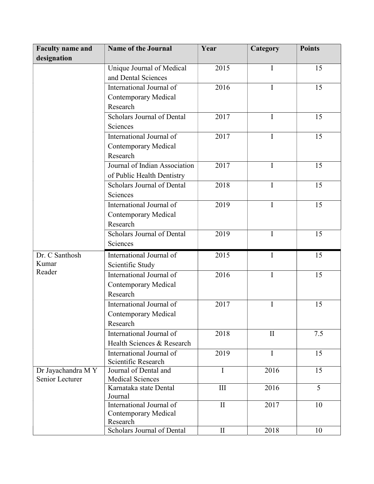| <b>Faculty name and</b> | <b>Name of the Journal</b>          | Year         | Category     | <b>Points</b> |
|-------------------------|-------------------------------------|--------------|--------------|---------------|
| designation             |                                     |              |              |               |
|                         | Unique Journal of Medical           | 2015         | I            | 15            |
|                         | and Dental Sciences                 |              |              |               |
|                         | International Journal of            | 2016         | I            | 15            |
|                         | <b>Contemporary Medical</b>         |              |              |               |
|                         | Research                            |              |              |               |
|                         | Scholars Journal of Dental          | 2017         | I            | 15            |
|                         | Sciences                            |              |              |               |
|                         | International Journal of            | 2017         | I            | 15            |
|                         | <b>Contemporary Medical</b>         |              |              |               |
|                         | Research                            |              |              |               |
|                         | Journal of Indian Association       | 2017         | $\mathbf I$  | 15            |
|                         | of Public Health Dentistry          |              |              |               |
|                         | Scholars Journal of Dental          | 2018         | I            | 15            |
|                         | Sciences                            |              |              |               |
|                         | International Journal of            | 2019         | I            | 15            |
|                         | <b>Contemporary Medical</b>         |              |              |               |
|                         | Research                            |              |              |               |
|                         | Scholars Journal of Dental          | 2019         | $\mathbf I$  | 15            |
|                         | Sciences                            |              |              |               |
| Dr. C Santhosh          | International Journal of            | 2015         | $\mathbf I$  | 15            |
| Kumar                   | Scientific Study                    |              |              |               |
| Reader                  | International Journal of            | 2016         | I            | 15            |
|                         | <b>Contemporary Medical</b>         |              |              |               |
|                         | Research                            |              |              |               |
|                         | International Journal of            | 2017         | I            | 15            |
|                         | <b>Contemporary Medical</b>         |              |              |               |
|                         | Research                            |              |              |               |
|                         | International Journal of            | 2018         | $\mathbf{I}$ | 7.5           |
|                         | Health Sciences & Research          |              |              |               |
|                         | International Journal of            | 2019         | $\mathbf I$  | 15            |
|                         | Scientific Research                 |              |              |               |
| Dr Jayachandra M Y      | Journal of Dental and               | $\mathbf I$  | 2016         | 15            |
| Senior Lecturer         | <b>Medical Sciences</b>             |              |              |               |
|                         | Karnataka state Dental              | III          | 2016         | 5             |
|                         | Journal<br>International Journal of | $\mathbf{I}$ | 2017         | 10            |
|                         | <b>Contemporary Medical</b>         |              |              |               |
|                         | Research                            |              |              |               |
|                         | Scholars Journal of Dental          | $\mathbf{I}$ | 2018         | 10            |